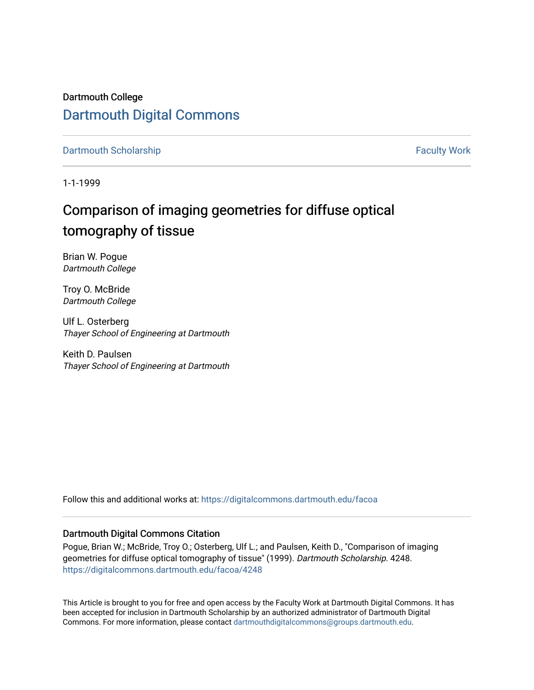Dartmouth College [Dartmouth Digital Commons](https://digitalcommons.dartmouth.edu/) 

[Dartmouth Scholarship](https://digitalcommons.dartmouth.edu/facoa) Faculty Work

1-1-1999

# Comparison of imaging geometries for diffuse optical tomography of tissue

Brian W. Pogue Dartmouth College

Troy O. McBride Dartmouth College

Ulf L. Osterberg Thayer School of Engineering at Dartmouth

Keith D. Paulsen Thayer School of Engineering at Dartmouth

Follow this and additional works at: [https://digitalcommons.dartmouth.edu/facoa](https://digitalcommons.dartmouth.edu/facoa?utm_source=digitalcommons.dartmouth.edu%2Ffacoa%2F4248&utm_medium=PDF&utm_campaign=PDFCoverPages)

# Dartmouth Digital Commons Citation

Pogue, Brian W.; McBride, Troy O.; Osterberg, Ulf L.; and Paulsen, Keith D., "Comparison of imaging geometries for diffuse optical tomography of tissue" (1999). Dartmouth Scholarship. 4248. [https://digitalcommons.dartmouth.edu/facoa/4248](https://digitalcommons.dartmouth.edu/facoa/4248?utm_source=digitalcommons.dartmouth.edu%2Ffacoa%2F4248&utm_medium=PDF&utm_campaign=PDFCoverPages) 

This Article is brought to you for free and open access by the Faculty Work at Dartmouth Digital Commons. It has been accepted for inclusion in Dartmouth Scholarship by an authorized administrator of Dartmouth Digital Commons. For more information, please contact [dartmouthdigitalcommons@groups.dartmouth.edu](mailto:dartmouthdigitalcommons@groups.dartmouth.edu).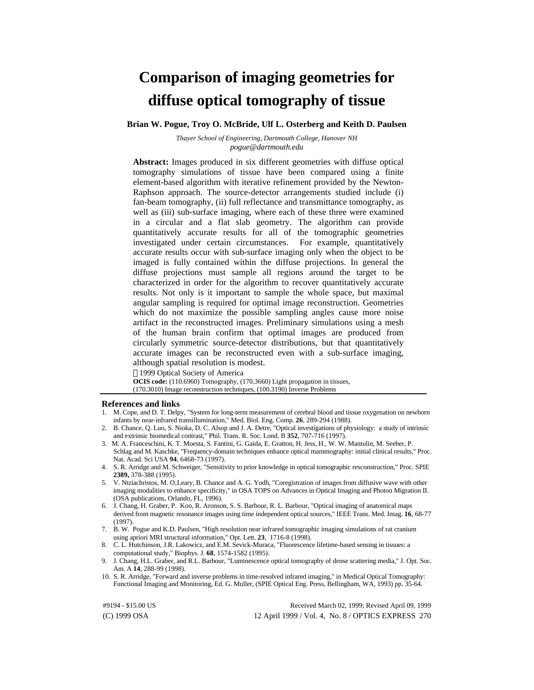# **Comparison of imaging geometries for diffuse optical tomography of tissue**

**Brian W. Pogue, Troy O. McBride, Ulf L. Osterberg and Keith D. Paulsen**

*Thayer School of Engineering, Dartmouth College, Hanover NH pogue@dartmouth.edu*

**Abstract:** Images produced in six different geometries with diffuse optical tomography simulations of tissue have been compared using a finite element-based algorithm with iterative refinement provided by the Newton-Raphson approach. The source-detector arrangements studied include (i) fan-beam tomography, (ii) full reflectance and transmittance tomography, as well as (iii) sub-surface imaging, where each of these three were examined in a circular and a flat slab geometry. The algorithm can provide quantitatively accurate results for all of the tomographic geometries investigated under certain circumstances. For example, quantitatively accurate results occur with sub-surface imaging only when the object to be imaged is fully contained within the diffuse projections. In general the diffuse projections must sample all regions around the target to be characterized in order for the algorithm to recover quantitatively accurate results. Not only is it important to sample the whole space, but maximal angular sampling is required for optimal image reconstruction. Geometries which do not maximize the possible sampling angles cause more noise artifact in the reconstructed images. Preliminary simulations using a mesh of the human brain confirm that optimal images are produced from circularly symmetric source-detector distributions, but that quantitatively accurate images can be reconstructed even with a sub-surface imaging, although spatial resolution is modest.

1999 Optical Society of America

**OCIS code:** (110.6960) Tomography, (170.3660) Light propagation in tissues, (170.3010) Image reconstruction techniques, (100.3190) Inverse Problems

#### **References and links**

- 1. M. Cope, and D. T. Delpy, "System for long-term measurement of cerebral blood and tissue oxygenation on newborn infants by near-infrared transillumination," Med. Biol. Eng. Comp. **26**, 289-294 (1988).
- 2. B. Chance, Q. Luo, S. Nioka, D. C. Alsop and J. A. Detre, "Optical investigations of physiology: a study of intrinsic and extrinsic biomedical contrast," Phil. Trans. R. Soc. Lond. B **352**, 707-716 (1997).
- 3. M. A. Franceschini, K. T. Moesta, S. Fantini, G. Gaida, E. Gratton, H. Jess, H., W. W. Mantulin, M. Seeber, P. Schlag and M. Kaschke, "Frequency-domain techniques enhance optical mammography: initial clinical results," Proc. Nat. Acad. Sci USA **94**, 6468-73 (1997).
- 4. S. R. Arridge and M. Schweiger, "Sensitivity to prior knowledge in optical tomographic resconstruction," Proc. SPIE **2389,** 378-388 (1995).
- 5. V. Ntziachristos, M. O'Leary, B. Chance and A. G. Yodh, "Coregistration of images from diffusive wave with other imaging modalities to enhance specificity," in OSA TOPS on Advances in Optical Imaging and Photon Migration II. (OSA publications, Orlando, FL, 1996).
- 6. J. Chang, H. Graber, P. Koo, R. Aronson, S. S. Barbour, R. L. Barbour, "Optical imaging of anatomical maps derived from magnetic resonance images using time independent optical sources," IEEE Trans. Med. Imag. **16**, 68-77 (1997).
- 7. B. W. Pogue and K.D. Paulsen, "High resolution near infrared tomographic imaging simulations of rat cranium using apriori MRI structural information," Opt. Lett. **23**, 1716-8 (1998).
- 8. C. L. Hutchinson, J.R. Lakowicz, and E.M. Sevick-Muraca, "Fluorescence lifetime-based sensing in tissues: a computational study," Biophys. J. **68**, 1574-1582 (1995).
- 9. J. Chang, H.L. Graber, and R.L. Barbour, "Luminescence optical tomography of dense scattering media," J. Opt. Soc. Am. A **14**, 288-99 (1998).
- 10. S. R. Arridge, "Forward and inverse problems in time-resolved infrared imaging," in Medical Optical Tomography: Functional Imaging and Monitoring, Ed. G. Muller, (SPIE Optical Eng. Press, Bellingham, WA, 1993) pp. 35-64.

(C) 1999 OSA 12 April 1999 / Vol. 4, No. 8 / OPTICS EXPRESS 270 #9194 - \$15.00 US Received March 02, 1999; Revised April 09, 1999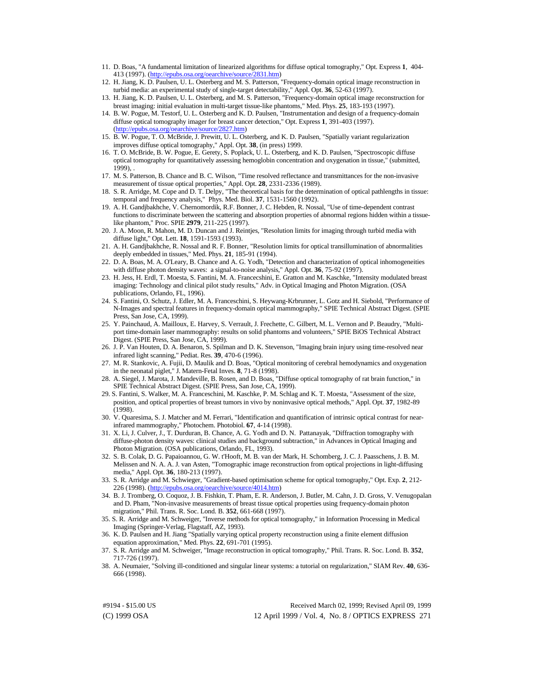- 11. D. Boas, "A fundamental limitation of linearized algorithms for diffuse optical tomography," Opt. Express **1**, 404- 413 (1997). [\(http://epubs.osa.org/oearchive/source/2831.htm\)](http://epubs.osa.org/oearchive/source/2831.htm)
- 12. H. Jiang, K. D. Paulsen, U. L. Osterberg and M. S. Patterson, "Frequency-domain optical image reconstruction in turbid media: an experimental study of single-target detectability," Appl. Opt. **36**, 52-63 (1997).
- 13. H. Jiang, K. D. Paulsen, U. L. Osterberg, and M. S. Patterson, "Frequency-domain optical image reconstruction for breast imaging: initial evaluation in multi-target tissue-like phantoms," Med. Phys. **25**, 183-193 (1997).
- 14. B. W. Pogue, M. Testorf, U. L. Osterberg and K. D. Paulsen, "Instrumentation and design of a frequency-domain diffuse optical tomography imager for breast cancer detection," Opt. Express **1**, 391-403 (1997). [\(http://epubs.osa.org/oearchive/source/2827.htm\)](http://epubs.osa.org/oearchive/source/2827.htm)
- 15. B. W. Pogue, T. O. McBride, J. Prewitt, U. L. Osterberg, and K. D. Paulsen, "Spatially variant regularization improves diffuse optical tomography," Appl. Opt. **38**, (in press) 1999.
- 16. T. O. McBride, B. W. Pogue, E. Gerety, S. Poplack, U. L. Osterberg, and K. D. Paulsen, "Spectroscopic diffuse optical tomography for quantitatively assessing hemoglobin concentration and oxygenation in tissue," (submitted,  $1999$ ), .
- 17. M. S. Patterson, B. Chance and B. C. Wilson, "Time resolved reflectance and transmittances for the non-invasive measurement of tissue optical properties," Appl. Opt. **28**, 2331-2336 (1989).
- 18. S. R. Arridge, M. Cope and D. T. Delpy, "The theoretical basis for the determination of optical pathlengths in tissue: temporal and frequency analysis," Phys. Med. Biol. **37**, 1531-1560 (1992).
- 19. A. H. Gandjbakhche, V. Chernomordik, R.F. Bonner, J. C. Hebden, R. Nossal, "Use of time-dependent contrast functions to discriminate between the scattering and absorption properties of abnormal regions hidden within a tissuelike phantom," Proc. SPIE **2979**, 211-225 (1997).
- 20. J. A. Moon, R. Mahon, M. D. Duncan and J. Reintjes, "Resolution limits for imaging through turbid media with diffuse light," Opt. Lett. **18**, 1591-1593 (1993).
- 21. A. H. Gandjbakhche, R. Nossal and R. F. Bonner, "Resolution limits for optical transillumination of abnormalities deeply embedded in tissues," Med. Phys. **21**, 185-91 (1994).
- 22. D. A. Boas, M. A. O'Leary, B. Chance and A. G. Yodh, "Detection and characterization of optical inhomogeneities with diffuse photon density waves: a signal-to-noise analysis," Appl. Opt. **36**, 75-92 (1997).
- 23. H. Jess, H. Erdl, T. Moesta, S. Fantini, M. A. Francecshini, E. Gratton and M. Kaschke, "Intensity modulated breast imaging: Technology and clinical pilot study results," Adv. in Optical Imaging and Photon Migration. (OSA publications, Orlando, FL, 1996).
- 24. S. Fantini, O. Schutz, J. Edler, M. A. Franceschini, S. Heywang-Krbrunner, L. Gotz and H. Siebold, "Performance of N-Images and spectral features in frequency-domain optical mammography," SPIE Technical Abstract Digest. (SPIE Press, San Jose, CA, 1999).
- 25. Y. Painchaud, A. Mailloux, E. Harvey, S. Verrault, J. Frechette, C. Gilbert, M. L. Vernon and P. Beaudry, "Multiport time-domain laser mammography: results on solid phantoms and volunteers," SPIE BiOS Technical Abstract Digest. (SPIE Press, San Jose, CA, 1999).
- 26. J. P. Van Houten, D. A. Benaron, S. Spilman and D. K. Stevenson, "Imaging brain injury using time-resolved near infrared light scanning," Pediat. Res. **39**, 470-6 (1996).
- 27. M. R. Stankovic, A. Fujii, D. Maulik and D. Boas, "Optical monitoring of cerebral hemodynamics and oxygenation in the neonatal piglet," J. Matern-Fetal Inves. **8**, 71-8 (1998).
- 28. A. Siegel, J. Marota, J. Mandeville, B. Rosen, and D. Boas, "Diffuse optical tomography of rat brain function," in SPIE Technical Abstract Digest. (SPIE Press, San Jose, CA, 1999).
- 29. S. Fantini, S. Walker, M. A. Franceschini, M. Kaschke, P. M. Schlag and K. T. Moesta, "Assessment of the size, position, and optical properties of breast tumors in vivo by noninvasive optical methods," Appl. Opt. **37**, 1982-89 (1998).
- 30. V. Quaresima, S. J. Matcher and M. Ferrari, "Identification and quantification of intrinsic optical contrast for nearinfrared mammography," Photochem. Photobiol. **67**, 4-14 (1998).
- 31. X. Li, J. Culver, J., T. Durduran, B. Chance, A. G. Yodh and D. N. Pattanayak, "Diffraction tomography with diffuse-photon density waves: clinical studies and background subtraction," in Advances in Optical Imaging and Photon Migration. (OSA publications, Orlando, FL, 1993).
- 32. S. B. Colak, D. G. Papaioannou, G. W. t'Hooft, M. B. van der Mark, H. Schomberg, J. C. J. Paasschens, J. B. M. Melissen and N. A. A. J. van Asten, "Tomographic image reconstruction from optical projections in light-diffusing media," Appl. Opt. **36**, 180-213 (1997).
- 33. S. R. Arridge and M. Schwieger, "Gradient-based optimisation scheme for optical tomography," Opt. Exp. **2**, 212- 226 (1998). [\(http://epubs.osa.org/oearchive/source/4014.htm\)](http://epubs.osa.org/oearchive/source/4014.htm)
- 34. B. J. Tromberg, O. Coquoz, J. B. Fishkin, T. Pham, E. R. Anderson, J. Butler, M. Cahn, J. D. Gross, V. Venugopalan and D. Pham, "Non-invasive measurements of breast tissue optical properties using frequency-domain photon migration," Phil. Trans. R. Soc. Lond. B. **352**, 661-668 (1997).
- 35. S. R. Arridge and M. Schweiger, "Inverse methods for optical tomography," in Information Processing in Medical Imaging (Springer-Verlag, Flagstaff, AZ, 1993).
- 36. K. D. Paulsen and H. Jiang "Spatially varying optical property reconstruction using a finite element diffusion equation approximation," Med. Phys. **22**, 691-701 (1995).
- 37. S. R. Arridge and M. Schweiger, "Image reconstruction in optical tomography," Phil. Trans. R. Soc. Lond. B. **352**, 717-726 (1997).
- 38. A. Neumaier, "Solving ill-conditioned and singular linear systems: a tutorial on regularization," SIAM Rev. **40**, 636- 666 (1998).

(C) 1999 OSA 12 April 1999 / Vol. 4, No. 8 / OPTICS EXPRESS 271 #9194 - \$15.00 US Received March 02, 1999; Revised April 09, 1999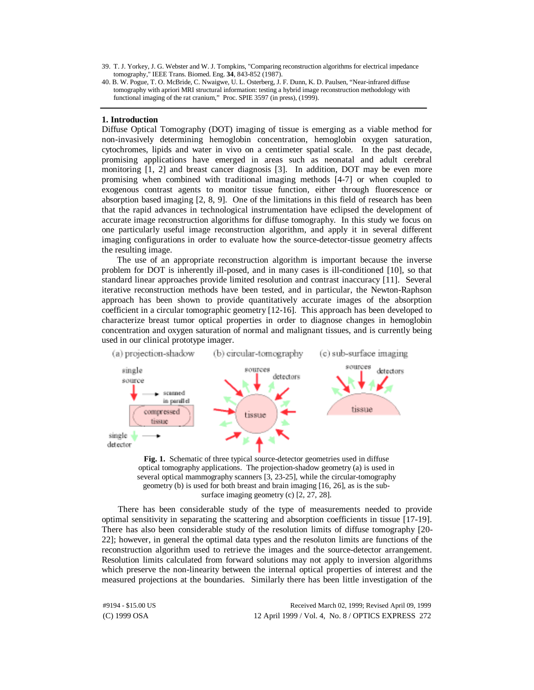39. T. J. Yorkey, J. G. Webster and W. J. Tompkins, "Comparing reconstruction algorithms for electrical impedance tomography," IEEE Trans. Biomed. Eng. **34**, 843-852 (1987).

# **1. Introduction**

Diffuse Optical Tomography (DOT) imaging of tissue is emerging as a viable method for non-invasively determining hemoglobin concentration, hemoglobin oxygen saturation, cytochromes, lipids and water in vivo on a centimeter spatial scale. In the past decade, promising applications have emerged in areas such as neonatal and adult cerebral monitoring [1, 2] and breast cancer diagnosis [3]. In addition, DOT may be even more promising when combined with traditional imaging methods [4-7] or when coupled to exogenous contrast agents to monitor tissue function, either through fluorescence or absorption based imaging [2, 8, 9]. One of the limitations in this field of research has been that the rapid advances in technological instrumentation have eclipsed the development of accurate image reconstruction algorithms for diffuse tomography. In this study we focus on one particularly useful image reconstruction algorithm, and apply it in several different imaging configurations in order to evaluate how the source-detector-tissue geometry affects the resulting image.

The use of an appropriate reconstruction algorithm is important because the inverse problem for DOT is inherently ill-posed, and in many cases is ill-conditioned [10], so that standard linear approaches provide limited resolution and contrast inaccuracy [11]. Several iterative reconstruction methods have been tested, and in particular, the Newton-Raphson approach has been shown to provide quantitatively accurate images of the absorption coefficient in a circular tomographic geometry [12-16]. This approach has been developed to characterize breast tumor optical properties in order to diagnose changes in hemoglobin concentration and oxygen saturation of normal and malignant tissues, and is currently being used in our clinical prototype imager.



**Fig. 1.** Schematic of three typical source-detector geometries used in diffuse optical tomography applications. The projection-shadow geometry (a) is used in several optical mammography scanners [3, 23-25], while the circular-tomography geometry (b) is used for both breast and brain imaging [16, 26], as is the subsurface imaging geometry (c) [2, 27, 28].

There has been considerable study of the type of measurements needed to provide optimal sensitivity in separating the scattering and absorption coefficients in tissue [17-19]. There has also been considerable study of the resolution limits of diffuse tomography [20- 22]; however, in general the optimal data types and the resoluton limits are functions of the reconstruction algorithm used to retrieve the images and the source-detector arrangement. Resolution limits calculated from forward solutions may not apply to inversion algorithms which preserve the non-linearity between the internal optical properties of interest and the measured projections at the boundaries. Similarly there has been little investigation of the

(C) 1999 OSA 12 April 1999 / Vol. 4, No. 8 / OPTICS EXPRESS 272 #9194 - \$15.00 US Received March 02, 1999; Revised April 09, 1999

<sup>40.</sup> B. W. Pogue, T. O. McBride, C. Nwaigwe, U. L. Osterberg, J. F. Dunn, K. D. Paulsen, "Near-infrared diffuse tomography with apriori MRI structural information: testing a hybrid image reconstruction methodology with functional imaging of the rat cranium," Proc. SPIE 3597 (in press), (1999).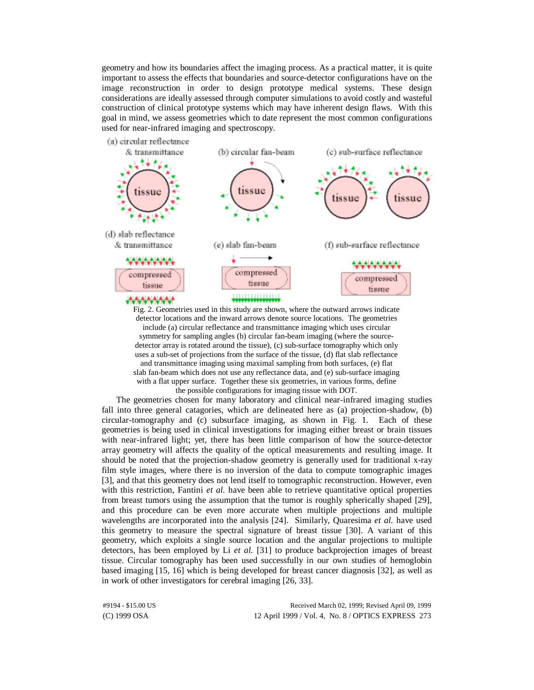geometry and how its boundaries affect the imaging process. As a practical matter, it is quite important to assess the effects that boundaries and source-detector configurations have on the image reconstruction in order to design prototype medical systems. These design considerations are ideally assessed through computer simulations to avoid costly and wasteful construction of clinical prototype systems which may have inherent design flaws. With this goal in mind, we assess geometries which to date represent the most common configurations used for near-infrared imaging and spectroscopy.



Fig. 2. Geometries used in this study are shown, where the outward arrows indicate detector locations and the inward arrows denote source locations. The geometries include (a) circular reflectance and transmittance imaging which uses circular symmetry for sampling angles (b) circular fan-beam imaging (where the sourcedetector array is rotated around the tissue), (c) sub-surface tomography which only uses a sub-set of projections from the surface of the tissue, (d) flat slab reflectance and transmittance imaging using maximal sampling from both surfaces, (e) flat slab fan-beam which does not use any reflectance data, and (e) sub-surface imaging with a flat upper surface. Together these six geometries, in various forms, define the possible configurations for imaging tissue with DOT.

The geometries chosen for many laboratory and clinical near-infrared imaging studies fall into three general catagories, which are delineated here as (a) projection-shadow, (b) circular-tomography and (c) subsurface imaging, as shown in Fig. 1. Each of these geometries is being used in clinical investigations for imaging either breast or brain tissues with near-infrared light; yet, there has been little comparison of how the source-detector array geometry will affects the quality of the optical measurements and resulting image. It should be noted that the projection-shadow geometry is generally used for traditional x-ray film style images, where there is no inversion of the data to compute tomographic images [3], and that this geometry does not lend itself to tomographic reconstruction. However, even with this restriction, Fantini *et al.* have been able to retrieve quantitative optical properties from breast tumors using the assumption that the tumor is roughly spherically shaped [29], and this procedure can be even more accurate when multiple projections and multiple wavelengths are incorporated into the analysis [24]. Similarly, Quaresima *et al.* have used this geometry to measure the spectral signature of breast tissue [30]. A variant of this geometry, which exploits a single source location and the angular projections to multiple detectors, has been employed by Li *et al.* [31] to produce backprojection images of breast tissue. Circular tomography has been used successfully in our own studies of hemoglobin based imaging [15, 16] which is being developed for breast cancer diagnosis [32], as well as in work of other investigators for cerebral imaging [26, 33].

(C) 1999 OSA 12 April 1999 / Vol. 4, No. 8 / OPTICS EXPRESS 273 #9194 - \$15.00 US Received March 02, 1999; Revised April 09, 1999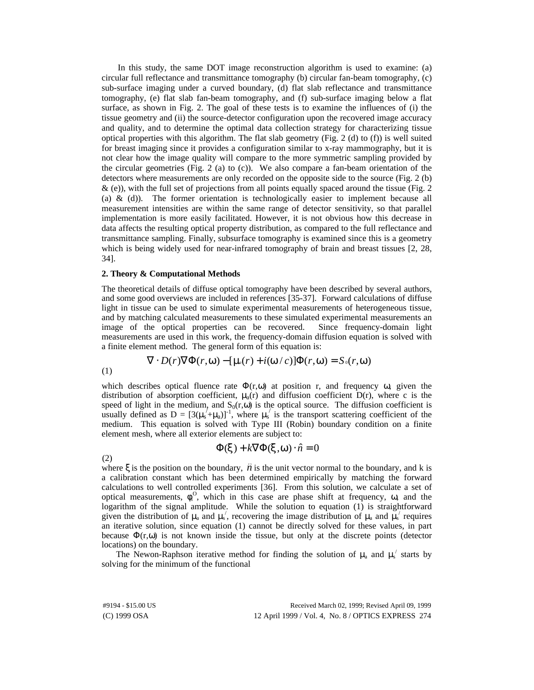In this study, the same DOT image reconstruction algorithm is used to examine: (a) circular full reflectance and transmittance tomography (b) circular fan-beam tomography, (c) sub-surface imaging under a curved boundary, (d) flat slab reflectance and transmittance tomography, (e) flat slab fan-beam tomography, and (f) sub-surface imaging below a flat surface, as shown in Fig. 2. The goal of these tests is to examine the influences of (i) the tissue geometry and (ii) the source-detector configuration upon the recovered image accuracy and quality, and to determine the optimal data collection strategy for characterizing tissue optical properties with this algorithm. The flat slab geometry (Fig. 2 (d) to (f)) is well suited for breast imaging since it provides a configuration similar to x-ray mammography, but it is not clear how the image quality will compare to the more symmetric sampling provided by the circular geometries (Fig. 2 (a) to (c)). We also compare a fan-beam orientation of the detectors where measurements are only recorded on the opposite side to the source (Fig. 2 (b)  $\&$  (e)), with the full set of projections from all points equally spaced around the tissue (Fig. 2) (a)  $\&$  (d)). The former orientation is technologically easier to implement because all measurement intensities are within the same range of detector sensitivity, so that parallel implementation is more easily facilitated. However, it is not obvious how this decrease in data affects the resulting optical property distribution, as compared to the full reflectance and transmittance sampling. Finally, subsurface tomography is examined since this is a geometry which is being widely used for near-infrared tomography of brain and breast tissues [2, 28, 34].

## **2. Theory & Computational Methods**

The theoretical details of diffuse optical tomography have been described by several authors, and some good overviews are included in references [35-37]. Forward calculations of diffuse light in tissue can be used to simulate experimental measurements of heterogeneous tissue, and by matching calculated measurements to these simulated experimental measurements an image of the optical properties can be recovered. Since frequency-domain light measurements are used in this work, the frequency-domain diffusion equation is solved with a finite element method. The general form of this equation is:

$$
\nabla \cdot D(r) \nabla \Phi(r, \mathbf{w}) - [\mathbf{m}(r) + i(\mathbf{w}/c)] \Phi(r, \mathbf{w}) = S_0(r, \mathbf{w})
$$

(1)

(2)

which describes optical fluence rate  $\Phi(r,\omega)$  at position r, and frequency  $\omega$ , given the distribution of absorption coefficient,  $\mu_a(r)$  and diffusion coefficient D(r), where c is the speed of light in the medium, and  $S_0(r,\omega)$  is the optical source. The diffusion coefficient is usually defined as  $D = [3(\mu_s + \mu_a)]^{-1}$ , where  $\mu_s$  is the transport scattering coefficient of the medium. This equation is solved with Type III (Robin) boundary condition on a finite element mesh, where all exterior elements are subject to:

$$
\Phi(\mathbf{x}) + k \nabla \Phi(\mathbf{x}, \mathbf{w}) \cdot \hat{n} = 0
$$

where  $\xi$  is the position on the boundary,  $\hat{n}$  is the unit vector normal to the boundary, and k is a calibration constant which has been determined empirically by matching the forward calculations to well controlled experiments [36]. From this solution, we calculate a set of optical measurements,  $\phi_i^0$ , which in this case are phase shift at frequency,  $\omega$ , and the logarithm of the signal amplitude. While the solution to equation (1) is straightforward given the distribution of  $\mu_a$  and  $\mu_s'$ , recovering the image distribution of  $\mu_a$  and  $\mu_s'$  requires an iterative solution, since equation (1) cannot be directly solved for these values, in part because  $\Phi(r,\omega)$  is not known inside the tissue, but only at the discrete points (detector locations) on the boundary.

The Newon-Raphson iterative method for finding the solution of  $\mu_a$  and  $\mu_s$  starts by solving for the minimum of the functional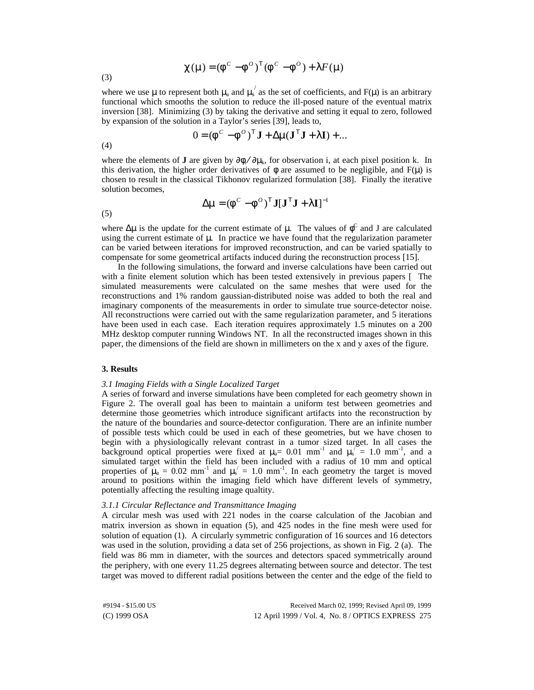$$
\mathbf{C}(\mathbf{m}) = (\mathbf{f}^{\mathbf{C}} - \mathbf{f}^{\mathbf{O}})^{\mathrm{T}} (\mathbf{f}^{\mathbf{C}} - \mathbf{f}^{\mathbf{O}}) + \mathbf{I} \mathbf{F}(\mathbf{m})
$$

(3)

where we use  $\mu$  to represent both  $\mu_a$  and  $\mu_s'$  as the set of coefficients, and F( $\mu$ ) is an arbitrary functional which smooths the solution to reduce the ill-posed nature of the eventual matrix inversion [38]. Minimizing (3) by taking the derivative and setting it equal to zero, followed by expansion of the solution in a Taylor's series [39], leads to,

$$
0 = (\boldsymbol{f}^{\mathrm{C}} - \boldsymbol{f}^{\mathrm{O}})^{\mathrm{T}} \mathbf{J} + \Delta \mathbf{m} (\mathbf{J}^{\mathrm{T}} \mathbf{J} + \mathbf{I} \mathbf{I}) + \dots
$$

(4)

where the elements of **J** are given by  $\partial \phi_i / \partial \mu_k$ , for observation i, at each pixel position k. In this derivation, the higher order derivatives of  $\phi$  are assumed to be negligible, and  $F(\mu)$  is chosen to result in the classical Tikhonov regularized formulation [38]. Finally the iterative solution becomes,

$$
\Delta \mathbf{m} = (\mathbf{f}^{\circ} - \mathbf{f}^{\circ})^{\mathrm{T}} \mathbf{J} [\mathbf{J}^{\mathrm{T}} \mathbf{J} + \mathbf{I} \mathbf{I}]^{-1}
$$

(5)

where  $\Delta \mu$  is the update for the current estimate of  $\mu$ . The values of  $\phi^C$  and J are calculated using the current estimate of  $\mu$ . In practice we have found that the regularization parameter can be varied between iterations for improved reconstruction, and can be varied spatially to compensate for some geometrical artifacts induced during the reconstruction process [15].

In the following simulations, the forward and inverse calculations have been carried out with a finite element solution which has been tested extensively in previous papers [ The simulated measurements were calculated on the same meshes that were used for the reconstructions and 1% random gaussian-distributed noise was added to both the real and imaginary components of the measurements in order to simulate true source-detector noise. All reconstructions were carried out with the same regularization parameter, and 5 iterations have been used in each case. Each iteration requires approximately 1.5 minutes on a 200 MHz desktop computer running Windows NT. In all the reconstructed images shown in this paper, the dimensions of the field are shown in millimeters on the x and y axes of the figure.

# **3. Results**

## *3.1 Imaging Fields with a Single Localized Target*

A series of forward and inverse simulations have been completed for each geometry shown in Figure 2. The overall goal has been to maintain a uniform test between geometries and determine those geometries which introduce significant artifacts into the reconstruction by the nature of the boundaries and source-detector configuration. There are an infinite number of possible tests which could be used in each of these geometries, but we have chosen to begin with a physiologically relevant contrast in a tumor sized target. In all cases the background optical properties were fixed at  $\mu_a = 0.01$  mm<sup>-1</sup> and  $\mu_s^{\prime\prime} = 1.0$  mm<sup>-1</sup>, and a simulated target within the field has been included with a radius of 10 mm and optical properties of  $\mu_a = 0.02$  mm<sup>-1</sup> and  $\mu_s' = 1.0$  mm<sup>-1</sup>. In each geometry the target is moved around to positions within the imaging field which have different levels of symmetry, potentially affecting the resulting image qualtity.

# *3.1.1 Circular Reflectance and Transmittance Imaging*

A circular mesh was used with 221 nodes in the coarse calculation of the Jacobian and matrix inversion as shown in equation (5), and 425 nodes in the fine mesh were used for solution of equation (1). A circularly symmetric configuration of 16 sources and 16 detectors was used in the solution, providing a data set of 256 projections, as shown in Fig. 2 (a). The field was 86 mm in diameter, with the sources and detectors spaced symmetrically around the periphery, with one every 11.25 degrees alternating between source and detector. The test target was moved to different radial positions between the center and the edge of the field to

(C) 1999 OSA 12 April 1999 / Vol. 4, No. 8 / OPTICS EXPRESS 275 #9194 - \$15.00 US Received March 02, 1999; Revised April 09, 1999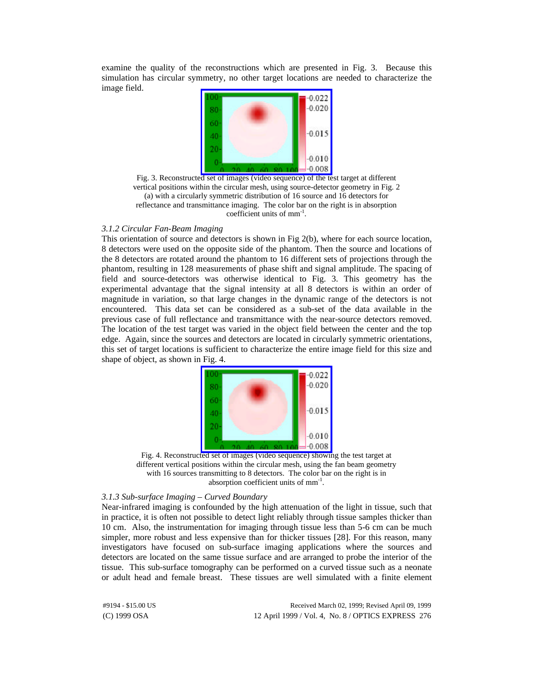examine the quality of the reconstructions which are presented in Fig. 3. Because this simulation has circular symmetry, no other target locations are needed to characterize the image field.



Fig. 3. Reconstructed set of images (video sequence) of the test target at different vertical positions within the circular mesh, using source-detector geometry in Fig. 2 (a) with a circularly symmetric distribution of 16 source and 16 detectors for reflectance and transmittance imaging. The color bar on the right is in absorption coefficient units of mm<sup>-1</sup>.

# *3.1.2 Circular Fan-Beam Imaging*

This orientation of source and detectors is shown in Fig 2(b), where for each source location, 8 detectors were used on the opposite side of the phantom. Then the source and locations of the 8 detectors are rotated around the phantom to 16 different sets of projections through the phantom, resulting in 128 measurements of phase shift and signal amplitude. The spacing of field and source-detectors was otherwise identical to Fig. 3. This geometry has the experimental advantage that the signal intensity at all 8 detectors is within an order of magnitude in variation, so that large changes in the dynamic range of the detectors is not encountered. This data set can be considered as a sub-set of the data available in the previous case of full reflectance and transmittance with the near-source detectors removed. The location of the test target was varied in the object field between the center and the top edge. Again, since the sources and detectors are located in circularly symmetric orientations, this set of target locations is sufficient to characterize the entire image field for this size and shape of object, as shown in Fig. 4.





#### *3.1.3 Sub-surface Imaging – Curved Boundary*

Near-infrared imaging is confounded by the high attenuation of the light in tissue, such that in practice, it is often not possible to detect light reliably through tissue samples thicker than 10 cm. Also, the instrumentation for imaging through tissue less than 5-6 cm can be much simpler, more robust and less expensive than for thicker tissues [28]. For this reason, many investigators have focused on sub-surface imaging applications where the sources and detectors are located on the same tissue surface and are arranged to probe the interior of the tissue. This sub-surface tomography can be performed on a curved tissue such as a neonate or adult head and female breast. These tissues are well simulated with a finite element

(C) 1999 OSA 12 April 1999 / Vol. 4, No. 8 / OPTICS EXPRESS 276 #9194 - \$15.00 US Received March 02, 1999; Revised April 09, 1999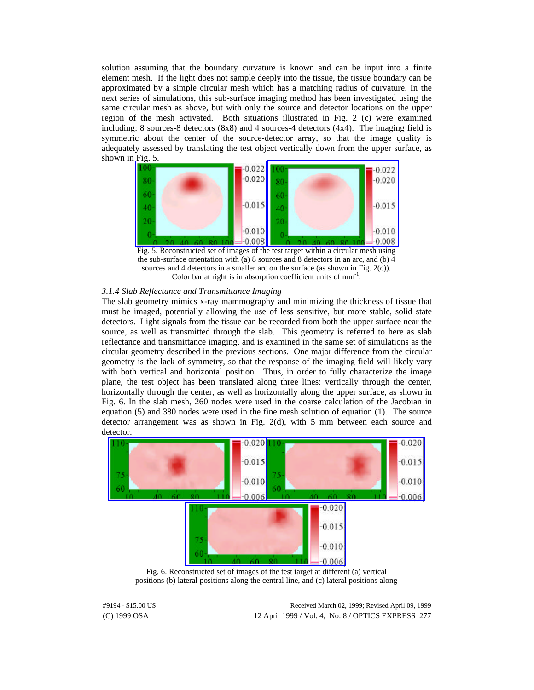solution assuming that the boundary curvature is known and can be input into a finite element mesh. If the light does not sample deeply into the tissue, the tissue boundary can be approximated by a simple circular mesh which has a matching radius of curvature. In the next series of simulations, this sub-surface imaging method has been investigated using the same circular mesh as above, but with only the source and detector locations on the upper region of the mesh activated. Both situations illustrated in Fig. 2 (c) were examined including: 8 sources-8 detectors (8x8) and 4 sources-4 detectors (4x4). The imaging field is symmetric about the center of the source-detector array, so that the image quality is adequately assessed by translating the test object vertically down from the upper surface, as shown in [Fig. 5.](https://www.osapublishing.org/viewmedia.cfm?uri=oe-4-8-270&seq=3)



the sub-surface orientation with (a) 8 sources and 8 detectors in an arc, and (b) 4 sources and 4 detectors in a smaller arc on the surface (as shown in Fig. 2(c)). Color bar at right is in absorption coefficient units of  $mm<sup>-1</sup>$ .

# *3.1.4 Slab Reflectance and Transmittance Imaging*

The slab geometry mimics x-ray mammography and minimizing the thickness of tissue that must be imaged, potentially allowing the use of less sensitive, but more stable, solid state detectors. Light signals from the tissue can be recorded from both the upper surface near the source, as well as transmitted through the slab. This geometry is referred to here as slab reflectance and transmittance imaging, and is examined in the same set of simulations as the circular geometry described in the previous sections. One major difference from the circular geometry is the lack of symmetry, so that the response of the imaging field will likely vary with both vertical and horizontal position. Thus, in order to fully characterize the image plane, the test object has been translated along three lines: vertically through the center, horizontally through the center, as well as horizontally along the upper surface, as shown in Fig. 6. In the slab mesh, 260 nodes were used in the coarse calculation of the Jacobian in equation (5) and 380 nodes were used in the fine mesh solution of equation (1). The source detector arrangement was as shown in Fig. 2(d), with 5 mm between each source and detector.



Fig. 6. Reconstructed set of images of the test target at different (a) vertical positions (b) lateral positions along the central line, and (c) lateral positions along

(C) 1999 OSA 12 April 1999 / Vol. 4, No. 8 / OPTICS EXPRESS 277 #9194 - \$15.00 US Received March 02, 1999; Revised April 09, 1999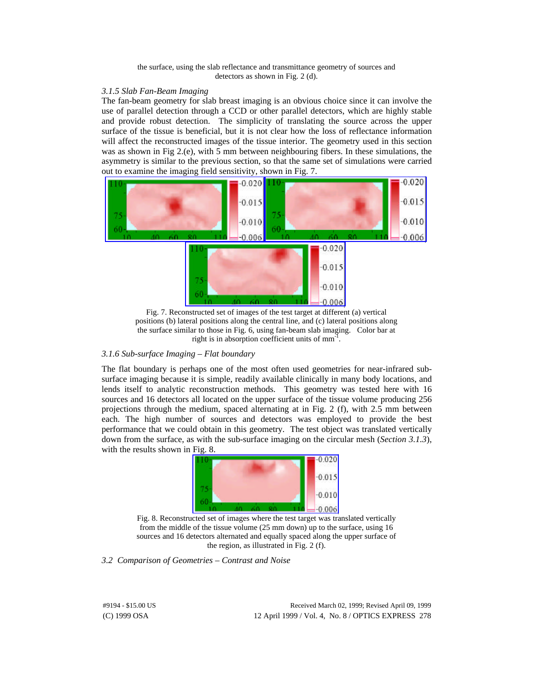the surface, using the slab reflectance and transmittance geometry of sources and detectors as shown in Fig. 2 (d).

## *3.1.5 Slab Fan-Beam Imaging*

The fan-beam geometry for slab breast imaging is an obvious choice since it can involve the use of parallel detection through a CCD or other parallel detectors, which are highly stable and provide robust detection. The simplicity of translating the source across the upper surface of the tissue is beneficial, but it is not clear how the loss of reflectance information will affect the reconstructed images of the tissue interior. The geometry used in this section was as shown in Fig 2.(e), with 5 mm between neighbouring fibers. In these simulations, the asymmetry is similar to the previous section, so that the same set of simulations were carried out to examine the imaging field sensitivity, shown in Fig. 7.



Fig. 7. Reconstructed set of images of the test target at different (a) vertical positions (b) lateral positions along the central line, and (c) lateral positions along the surface similar to those in Fig. 6, using fan-beam slab imaging. Color bar at right is in absorption coefficient units of mm<sup>-1</sup>.

# *3.1.6 Sub-surface Imaging – Flat boundary*

The flat boundary is perhaps one of the most often used geometries for near-infrared subsurface imaging because it is simple, readily available clinically in many body locations, and lends itself to analytic reconstruction methods. This geometry was tested here with 16 sources and 16 detectors all located on the upper surface of the tissue volume producing 256 projections through the medium, spaced alternating at in Fig. 2 (f), with 2.5 mm between each. The high number of sources and detectors was employed to provide the best performance that we could obtain in this geometry. The test object was translated vertically down from the surface, as with the sub-surface imaging on the circular mesh (*Section 3.1.3*), with the results shown in Fig. 8.



Fig. 8. Reconstructed set of images where the test target was translated vertically from the middle of the tissue volume (25 mm down) up to the surface, using 16 sources and 16 detectors alternated and equally spaced along the upper surface of the region, as illustrated in Fig. 2 (f).

*3.2 Comparison of Geometries – Contrast and Noise*

(C) 1999 OSA 12 April 1999 / Vol. 4, No. 8 / OPTICS EXPRESS 278 #9194 - \$15.00 US Received March 02, 1999; Revised April 09, 1999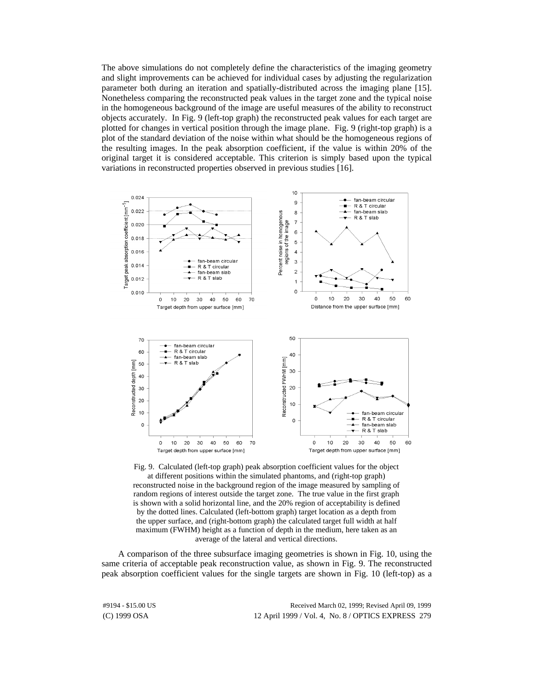The above simulations do not completely define the characteristics of the imaging geometry and slight improvements can be achieved for individual cases by adjusting the regularization parameter both during an iteration and spatially-distributed across the imaging plane [15]. Nonetheless comparing the reconstructed peak values in the target zone and the typical noise in the homogeneous background of the image are useful measures of the ability to reconstruct objects accurately. In Fig. 9 (left-top graph) the reconstructed peak values for each target are plotted for changes in vertical position through the image plane. Fig. 9 (right-top graph) is a plot of the standard deviation of the noise within what should be the homogeneous regions of the resulting images. In the peak absorption coefficient, if the value is within 20% of the original target it is considered acceptable. This criterion is simply based upon the typical variations in reconstructed properties observed in previous studies [16].



Fig. 9. Calculated (left-top graph) peak absorption coefficient values for the object at different positions within the simulated phantoms, and (right-top graph) reconstructed noise in the background region of the image measured by sampling of random regions of interest outside the target zone. The true value in the first graph is shown with a solid horizontal line, and the 20% region of acceptability is defined by the dotted lines. Calculated (left-bottom graph) target location as a depth from the upper surface, and (right-bottom graph) the calculated target full width at half maximum (FWHM) height as a function of depth in the medium, here taken as an average of the lateral and vertical directions.

A comparison of the three subsurface imaging geometries is shown in Fig. 10, using the same criteria of acceptable peak reconstruction value, as shown in Fig. 9. The reconstructed peak absorption coefficient values for the single targets are shown in Fig. 10 (left-top) as a

(C) 1999 OSA 12 April 1999 / Vol. 4, No. 8 / OPTICS EXPRESS 279 #9194 - \$15.00 US Received March 02, 1999; Revised April 09, 1999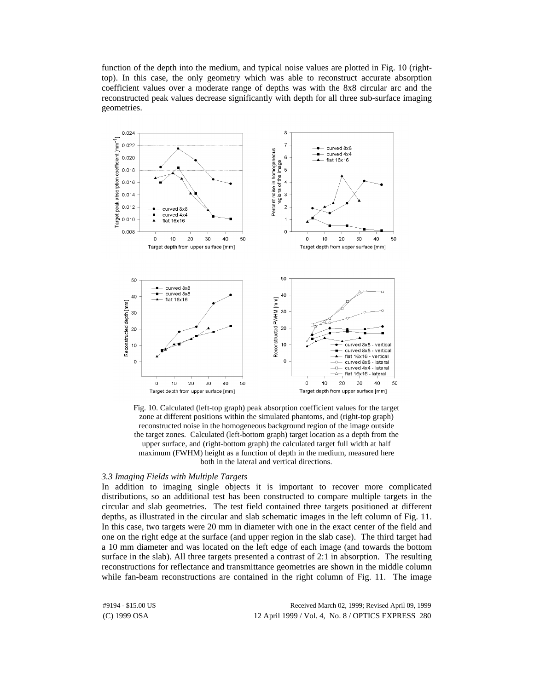function of the depth into the medium, and typical noise values are plotted in Fig. 10 (righttop). In this case, the only geometry which was able to reconstruct accurate absorption coefficient values over a moderate range of depths was with the 8x8 circular arc and the reconstructed peak values decrease significantly with depth for all three sub-surface imaging geometries.



Fig. 10. Calculated (left-top graph) peak absorption coefficient values for the target zone at different positions within the simulated phantoms, and (right-top graph) reconstructed noise in the homogeneous background region of the image outside the target zones. Calculated (left-bottom graph) target location as a depth from the upper surface, and (right-bottom graph) the calculated target full width at half maximum (FWHM) height as a function of depth in the medium, measured here both in the lateral and vertical directions.

## *3.3 Imaging Fields with Multiple Targets*

In addition to imaging single objects it is important to recover more complicated distributions, so an additional test has been constructed to compare multiple targets in the circular and slab geometries. The test field contained three targets positioned at different depths, as illustrated in the circular and slab schematic images in the left column of Fig. 11. In this case, two targets were 20 mm in diameter with one in the exact center of the field and one on the right edge at the surface (and upper region in the slab case). The third target had a 10 mm diameter and was located on the left edge of each image (and towards the bottom surface in the slab). All three targets presented a contrast of 2:1 in absorption. The resulting reconstructions for reflectance and transmittance geometries are shown in the middle column while fan-beam reconstructions are contained in the right column of Fig. 11. The image

(C) 1999 OSA 12 April 1999 / Vol. 4, No. 8 / OPTICS EXPRESS 280 #9194 - \$15.00 US Received March 02, 1999; Revised April 09, 1999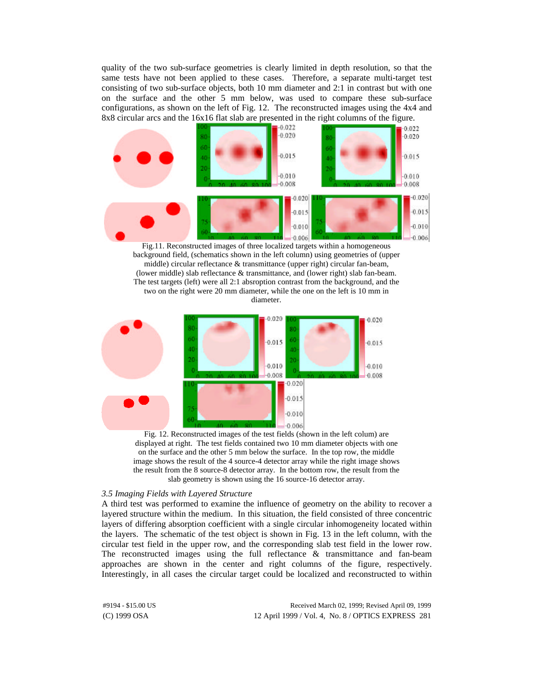quality of the two sub-surface geometries is clearly limited in depth resolution, so that the same tests have not been applied to these cases. Therefore, a separate multi-target test consisting of two sub-surface objects, both 10 mm diameter and 2:1 in contrast but with one on the surface and the other 5 mm below, was used to compare these sub-surface configurations, as shown on the left of Fig. 12. The reconstructed images using the 4x4 and 8x8 circular arcs and the 16x16 flat slab are presented in the right columns of the figure.



Fig.11. Reconstructed images of three localized targets within a homogeneous background field, (schematics shown in the left column) using geometries of (upper middle) circular reflectance & transmittance (upper right) circular fan-beam, (lower middle) slab reflectance & transmittance, and (lower right) slab fan-beam. The test targets (left) were all 2:1 absroption contrast from the background, and the two on the right were 20 mm diameter, while the one on the left is 10 mm in diameter.



Fig. 12. Reconstructed images of the test fields (shown in the left colum) are displayed at right. The test fields contained two 10 mm diameter objects with one on the surface and the other 5 mm below the surface. In the top row, the middle image shows the result of the 4 source-4 detector array while the right image shows the result from the 8 source-8 detector array. In the bottom row, the result from the slab geometry is shown using the 16 source-16 detector array.

#### *3.5 Imaging Fields with Layered Structure*

A third test was performed to examine the influence of geometry on the ability to recover a layered structure within the medium. In this situation, the field consisted of three concentric layers of differing absorption coefficient with a single circular inhomogeneity located within the layers. The schematic of the test object is shown in Fig. 13 in the left column, with the circular test field in the upper row, and the corresponding slab test field in the lower row. The reconstructed images using the full reflectance & transmittance and fan-beam approaches are shown in the center and right columns of the figure, respectively. Interestingly, in all cases the circular target could be localized and reconstructed to within

(C) 1999 OSA 12 April 1999 / Vol. 4, No. 8 / OPTICS EXPRESS 281 #9194 - \$15.00 US Received March 02, 1999; Revised April 09, 1999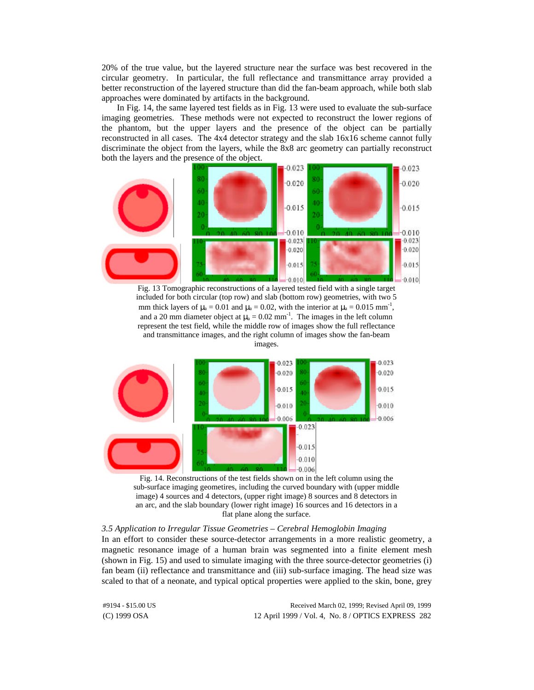20% of the true value, but the layered structure near the surface was best recovered in the circular geometry. In particular, the full reflectance and transmittance array provided a better reconstruction of the layered structure than did the fan-beam approach, while both slab approaches were dominated by artifacts in the background.

In Fig. 14, the same layered test fields as in Fig. 13 were used to evaluate the sub-surface imaging geometries. These methods were not expected to reconstruct the lower regions of the phantom, but the upper layers and the presence of the object can be partially reconstructed in all cases. The 4x4 detector strategy and the slab 16x16 scheme cannot fully discriminate the object from the layers, while the 8x8 arc geometry can partially reconstruct both the layers and the presence of the object.



included for both circular (top row) and slab (bottom row) geometries, with two 5 mm thick layers of  $\mu_a = 0.01$  and  $\mu_a = 0.02$ , with the interior at  $\mu_a = 0.015$  mm<sup>-1</sup>, and a 20 mm diameter object at  $\mu_a = 0.02$  mm<sup>-1</sup>. The images in the left column represent the test field, while the middle row of images show the full reflectance and transmittance images, and the right column of images show the fan-beam images.





# *3.5 Application to Irregular Tissue Geometries – Cerebral Hemoglobin Imaging*

In an effort to consider these source-detector arrangements in a more realistic geometry, a magnetic resonance image of a human brain was segmented into a finite element mesh (shown in Fig. 15) and used to simulate imaging with the three source-detector geometries (i) fan beam (ii) reflectance and transmittance and (iii) sub-surface imaging. The head size was scaled to that of a neonate, and typical optical properties were applied to the skin, bone, grey

(C) 1999 OSA 12 April 1999 / Vol. 4, No. 8 / OPTICS EXPRESS 282 #9194 - \$15.00 US Received March 02, 1999; Revised April 09, 1999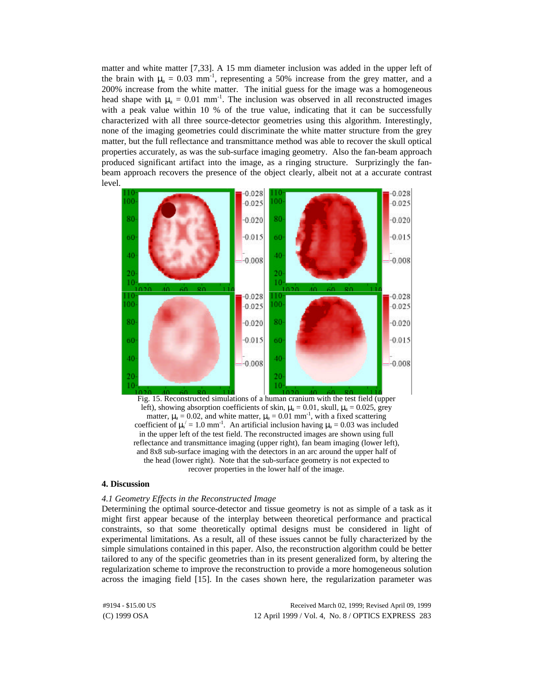matter and white matter [7,33]. A 15 mm diameter inclusion was added in the upper left of the brain with  $\mu_a = 0.03$  mm<sup>-1</sup>, representing a 50% increase from the grey matter, and a 200% increase from the white matter. The initial guess for the image was a homogeneous head shape with  $\mu_a = 0.01$  mm<sup>-1</sup>. The inclusion was observed in all reconstructed images with a peak value within 10 % of the true value, indicating that it can be successfully characterized with all three source-detector geometries using this algorithm. Interestingly, none of the imaging geometries could discriminate the white matter structure from the grey matter, but the full reflectance and transmittance method was able to recover the skull optical properties accurately, as was the sub-surface imaging geometry. Also the fan-beam approach produced significant artifact into the image, as a ringing structure. Surprizingly the fanbeam approach recovers the presence of the object clearly, albeit not at a accurate contrast level.



left), showing absorption coefficients of skin,  $\mu_a = 0.01$ , skull,  $\mu_a = 0.025$ , grey matter,  $\mu_a = 0.02$ , and white matter,  $\mu_a = 0.01$  mm<sup>-1</sup>, with a fixed scattering coefficient of  $\mu_s' = 1.0 \text{ mm}^{-1}$ . An artificial inclusion having  $\mu_a = 0.03$  was included in the upper left of the test field. The reconstructed images are shown using full reflectance and transmittance imaging (upper right), fan beam imaging (lower left), and 8x8 sub-surface imaging with the detectors in an arc around the upper half of the head (lower right). Note that the sub-surface geometry is not expected to recover properties in the lower half of the image.

# **4. Discussion**

## *4.1 Geometry Effects in the Reconstructed Image*

Determining the optimal source-detector and tissue geometry is not as simple of a task as it might first appear because of the interplay between theoretical performance and practical constraints, so that some theoretically optimal designs must be considered in light of experimental limitations. As a result, all of these issues cannot be fully characterized by the simple simulations contained in this paper. Also, the reconstruction algorithm could be better tailored to any of the specific geometries than in its present generalized form, by altering the regularization scheme to improve the reconstruction to provide a more homogeneous solution across the imaging field [15]. In the cases shown here, the regularization parameter was

(C) 1999 OSA 12 April 1999 / Vol. 4, No. 8 / OPTICS EXPRESS 283 #9194 - \$15.00 US Received March 02, 1999; Revised April 09, 1999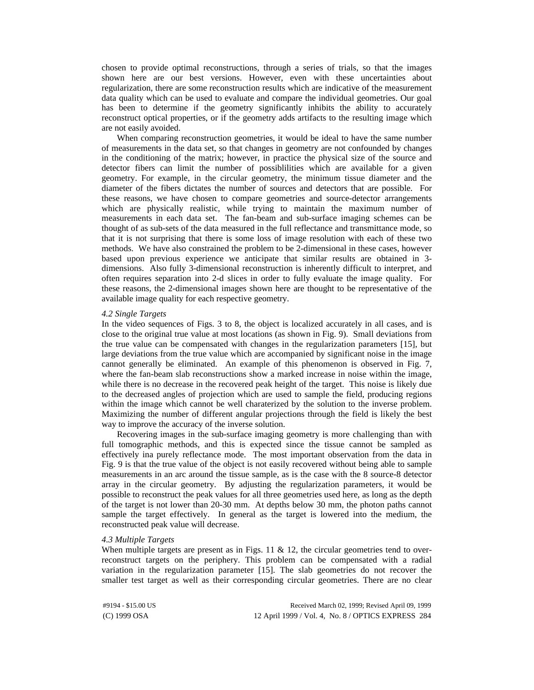chosen to provide optimal reconstructions, through a series of trials, so that the images shown here are our best versions. However, even with these uncertainties about regularization, there are some reconstruction results which are indicative of the measurement data quality which can be used to evaluate and compare the individual geometries. Our goal has been to determine if the geometry significantly inhibits the ability to accurately reconstruct optical properties, or if the geometry adds artifacts to the resulting image which are not easily avoided.

When comparing reconstruction geometries, it would be ideal to have the same number of measurements in the data set, so that changes in geometry are not confounded by changes in the conditioning of the matrix; however, in practice the physical size of the source and detector fibers can limit the number of possiblilities which are available for a given geometry. For example, in the circular geometry, the minimum tissue diameter and the diameter of the fibers dictates the number of sources and detectors that are possible. For these reasons, we have chosen to compare geometries and source-detector arrangements which are physically realistic, while trying to maintain the maximum number of measurements in each data set. The fan-beam and sub-surface imaging schemes can be thought of as sub-sets of the data measured in the full reflectance and transmittance mode, so that it is not surprising that there is some loss of image resolution with each of these two methods. We have also constrained the problem to be 2-dimensional in these cases, however based upon previous experience we anticipate that similar results are obtained in 3 dimensions. Also fully 3-dimensional reconstruction is inherently difficult to interpret, and often requires separation into 2-d slices in order to fully evaluate the image quality. For these reasons, the 2-dimensional images shown here are thought to be representative of the available image quality for each respective geometry.

### *4.2 Single Targets*

In the video sequences of Figs. 3 to 8, the object is localized accurately in all cases, and is close to the original true value at most locations (as shown in Fig. 9). Small deviations from the true value can be compensated with changes in the regularization parameters [15], but large deviations from the true value which are accompanied by significant noise in the image cannot generally be eliminated. An example of this phenomenon is observed in Fig. 7, where the fan-beam slab reconstructions show a marked increase in noise within the image, while there is no decrease in the recovered peak height of the target. This noise is likely due to the decreased angles of projection which are used to sample the field, producing regions within the image which cannot be well charaterized by the solution to the inverse problem. Maximizing the number of different angular projections through the field is likely the best way to improve the accuracy of the inverse solution.

Recovering images in the sub-surface imaging geometry is more challenging than with full tomographic methods, and this is expected since the tissue cannot be sampled as effectively ina purely reflectance mode. The most important observation from the data in Fig. 9 is that the true value of the object is not easily recovered without being able to sample measurements in an arc around the tissue sample, as is the case with the 8 source-8 detector array in the circular geometry. By adjusting the regularization parameters, it would be possible to reconstruct the peak values for all three geometries used here, as long as the depth of the target is not lower than 20-30 mm. At depths below 30 mm, the photon paths cannot sample the target effectively. In general as the target is lowered into the medium, the reconstructed peak value will decrease.

### *4.3 Multiple Targets*

When multiple targets are present as in Figs. 11  $\&$  12, the circular geometries tend to overreconstruct targets on the periphery. This problem can be compensated with a radial variation in the regularization parameter [15]. The slab geometries do not recover the smaller test target as well as their corresponding circular geometries. There are no clear

(C) 1999 OSA 12 April 1999 / Vol. 4, No. 8 / OPTICS EXPRESS 284 #9194 - \$15.00 US Received March 02, 1999; Revised April 09, 1999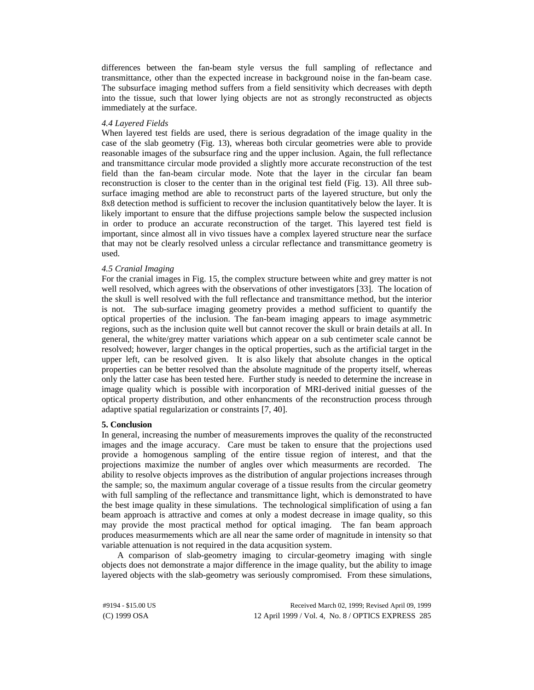differences between the fan-beam style versus the full sampling of reflectance and transmittance, other than the expected increase in background noise in the fan-beam case. The subsurface imaging method suffers from a field sensitivity which decreases with depth into the tissue, such that lower lying objects are not as strongly reconstructed as objects immediately at the surface.

## *4.4 Layered Fields*

When layered test fields are used, there is serious degradation of the image quality in the case of the slab geometry (Fig. 13), whereas both circular geometries were able to provide reasonable images of the subsurface ring and the upper inclusion. Again, the full reflectance and transmittance circular mode provided a slightly more accurate reconstruction of the test field than the fan-beam circular mode. Note that the layer in the circular fan beam reconstruction is closer to the center than in the original test field (Fig. 13). All three subsurface imaging method are able to reconstruct parts of the layered structure, but only the 8x8 detection method is sufficient to recover the inclusion quantitatively below the layer. It is likely important to ensure that the diffuse projections sample below the suspected inclusion in order to produce an accurate reconstruction of the target. This layered test field is important, since almost all in vivo tissues have a complex layered structure near the surface that may not be clearly resolved unless a circular reflectance and transmittance geometry is used.

## *4.5 Cranial Imaging*

For the cranial images in Fig. 15, the complex structure between white and grey matter is not well resolved, which agrees with the observations of other investigators [33]. The location of the skull is well resolved with the full reflectance and transmittance method, but the interior is not. The sub-surface imaging geometry provides a method sufficient to quantify the optical properties of the inclusion. The fan-beam imaging appears to image asymmetric regions, such as the inclusion quite well but cannot recover the skull or brain details at all. In general, the white/grey matter variations which appear on a sub centimeter scale cannot be resolved; however, larger changes in the optical properties, such as the artificial target in the upper left, can be resolved given. It is also likely that absolute changes in the optical properties can be better resolved than the absolute magnitude of the property itself, whereas only the latter case has been tested here. Further study is needed to determine the increase in image quality which is possible with incorporation of MRI-derived initial guesses of the optical property distribution, and other enhancments of the reconstruction process through adaptive spatial regularization or constraints [7, 40].

#### **5. Conclusion**

In general, increasing the number of measurements improves the quality of the reconstructed images and the image accuracy. Care must be taken to ensure that the projections used provide a homogenous sampling of the entire tissue region of interest, and that the projections maximize the number of angles over which measurments are recorded. The ability to resolve objects improves as the distribution of angular projections increases through the sample; so, the maximum angular coverage of a tissue results from the circular geometry with full sampling of the reflectance and transmittance light, which is demonstrated to have the best image quality in these simulations. The technological simplification of using a fan beam approach is attractive and comes at only a modest decrease in image quality, so this may provide the most practical method for optical imaging. The fan beam approach produces measurmements which are all near the same order of magnitude in intensity so that variable attenuation is not required in the data acqusition system.

A comparison of slab-geometry imaging to circular-geometry imaging with single objects does not demonstrate a major difference in the image quality, but the ability to image layered objects with the slab-geometry was seriously compromised. From these simulations,

(C) 1999 OSA 12 April 1999 / Vol. 4, No. 8 / OPTICS EXPRESS 285 #9194 - \$15.00 US Received March 02, 1999; Revised April 09, 1999